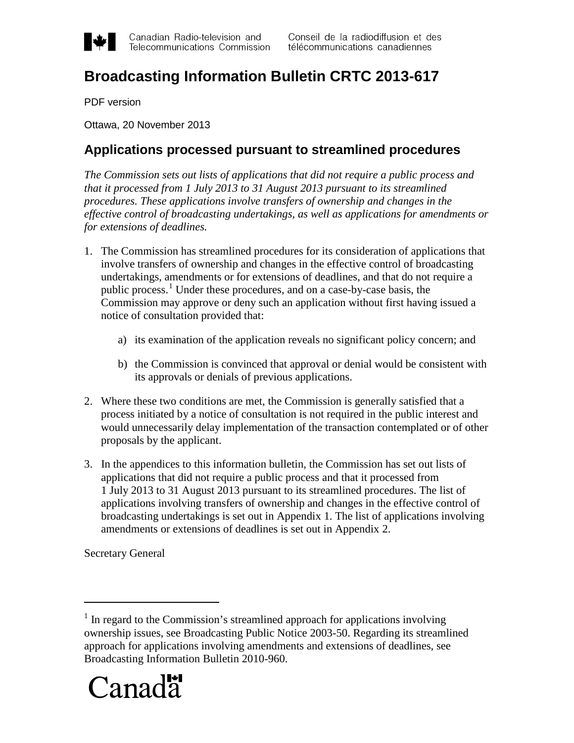

Canadian Radio-television and Telecommunications Commission

# **Broadcasting Information Bulletin CRTC 2013-617**

PDF version

Ottawa, 20 November 2013

#### **Applications processed pursuant to streamlined procedures**

*The Commission sets out lists of applications that did not require a public process and that it processed from 1 July 2013 to 31 August 2013 pursuant to its streamlined procedures. These applications involve transfers of ownership and changes in the effective control of broadcasting undertakings, as well as applications for amendments or for extensions of deadlines.*

- 1. The Commission has streamlined procedures for its consideration of applications that involve transfers of ownership and changes in the effective control of broadcasting undertakings, amendments or for extensions of deadlines, and that do not require a public process.<sup>[1](#page-0-0)</sup> Under these procedures, and on a case-by-case basis, the Commission may approve or deny such an application without first having issued a notice of consultation provided that:
	- a) its examination of the application reveals no significant policy concern; and
	- b) the Commission is convinced that approval or denial would be consistent with its approvals or denials of previous applications.
- 2. Where these two conditions are met, the Commission is generally satisfied that a process initiated by a notice of consultation is not required in the public interest and would unnecessarily delay implementation of the transaction contemplated or of other proposals by the applicant.
- 3. In the appendices to this information bulletin, the Commission has set out lists of applications that did not require a public process and that it processed from 1 July 2013 to 31 August 2013 pursuant to its streamlined procedures. The list of applications involving transfers of ownership and changes in the effective control of broadcasting undertakings is set out in Appendix 1. The list of applications involving amendments or extensions of deadlines is set out in Appendix 2.

Secretary General

 $\overline{a}$ 

<span id="page-0-0"></span><sup>&</sup>lt;sup>1</sup> In regard to the Commission's streamlined approach for applications involving ownership issues, see Broadcasting Public Notice 2003-50. Regarding its streamlined approach for applications involving amendments and extensions of deadlines, see Broadcasting Information Bulletin 2010-960.

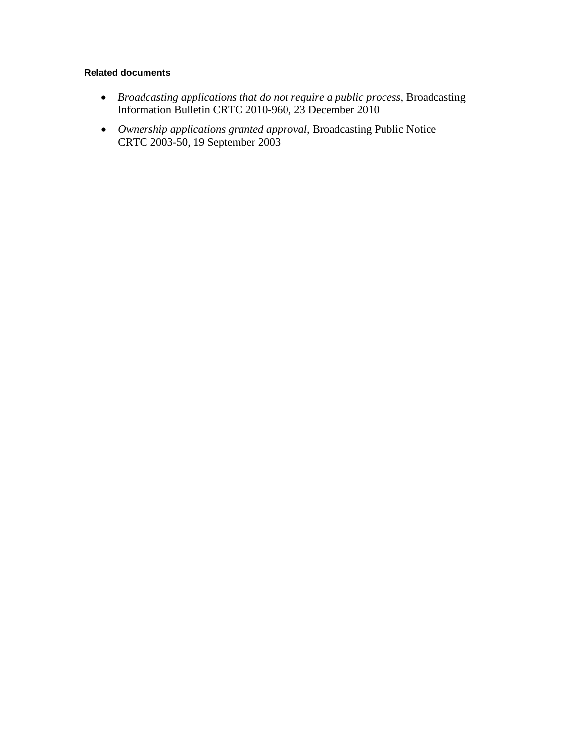#### **Related documents**

- *Broadcasting applications that do not require a public process*, Broadcasting Information Bulletin CRTC 2010-960, 23 December 2010
- *Ownership applications granted approval*, Broadcasting Public Notice CRTC 2003-50, 19 September 2003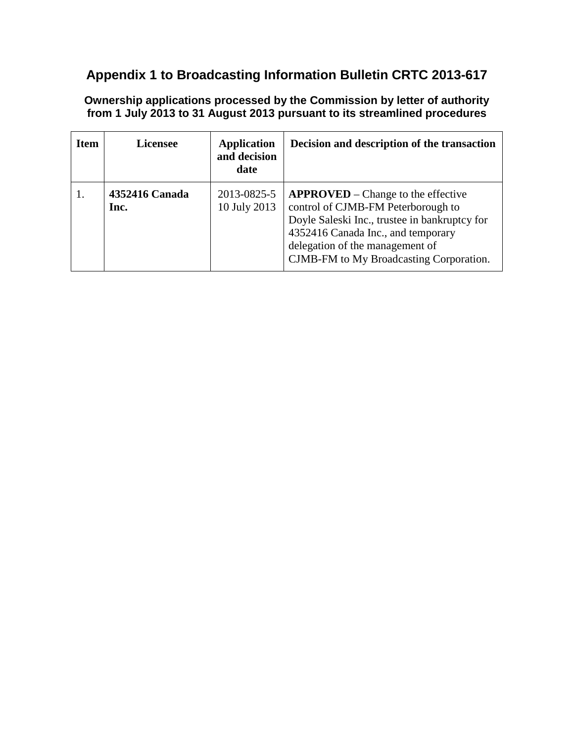## **Appendix 1 to Broadcasting Information Bulletin CRTC 2013-617**

**Ownership applications processed by the Commission by letter of authority from 1 July 2013 to 31 August 2013 pursuant to its streamlined procedures**

| <b>Item</b> | <b>Licensee</b>        | <b>Application</b><br>and decision<br>date | Decision and description of the transaction                                                                                                                                                                                                     |
|-------------|------------------------|--------------------------------------------|-------------------------------------------------------------------------------------------------------------------------------------------------------------------------------------------------------------------------------------------------|
|             | 4352416 Canada<br>Inc. | 2013-0825-5<br>10 July 2013                | $APPROVED - Change to the effective$<br>control of CJMB-FM Peterborough to<br>Doyle Saleski Inc., trustee in bankruptcy for<br>4352416 Canada Inc., and temporary<br>delegation of the management of<br>CJMB-FM to My Broadcasting Corporation. |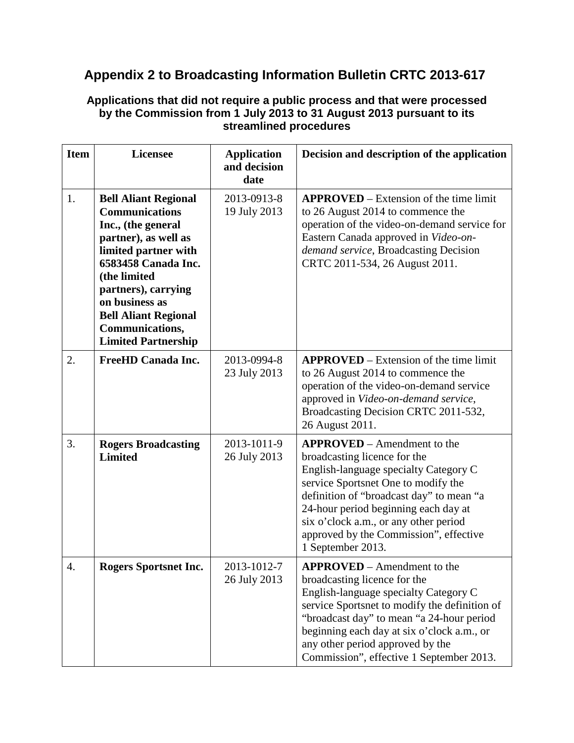## **Appendix 2 to Broadcasting Information Bulletin CRTC 2013-617**

#### **Applications that did not require a public process and that were processed by the Commission from 1 July 2013 to 31 August 2013 pursuant to its streamlined procedures**

| <b>Item</b> | <b>Licensee</b>                                                                                                                                                                                                                                                                            | <b>Application</b><br>and decision<br>date | Decision and description of the application                                                                                                                                                                                                                                                                                                    |
|-------------|--------------------------------------------------------------------------------------------------------------------------------------------------------------------------------------------------------------------------------------------------------------------------------------------|--------------------------------------------|------------------------------------------------------------------------------------------------------------------------------------------------------------------------------------------------------------------------------------------------------------------------------------------------------------------------------------------------|
| 1.          | <b>Bell Aliant Regional</b><br><b>Communications</b><br>Inc., (the general<br>partner), as well as<br>limited partner with<br>6583458 Canada Inc.<br>(the limited<br>partners), carrying<br>on business as<br><b>Bell Aliant Regional</b><br>Communications,<br><b>Limited Partnership</b> | 2013-0913-8<br>19 July 2013                | <b>APPROVED</b> – Extension of the time limit<br>to 26 August 2014 to commence the<br>operation of the video-on-demand service for<br>Eastern Canada approved in Video-on-<br>demand service, Broadcasting Decision<br>CRTC 2011-534, 26 August 2011.                                                                                          |
| 2.          | <b>FreeHD Canada Inc.</b>                                                                                                                                                                                                                                                                  | 2013-0994-8<br>23 July 2013                | <b>APPROVED</b> – Extension of the time limit<br>to 26 August 2014 to commence the<br>operation of the video-on-demand service<br>approved in Video-on-demand service,<br>Broadcasting Decision CRTC 2011-532,<br>26 August 2011.                                                                                                              |
| 3.          | <b>Rogers Broadcasting</b><br><b>Limited</b>                                                                                                                                                                                                                                               | 2013-1011-9<br>26 July 2013                | <b>APPROVED</b> – Amendment to the<br>broadcasting licence for the<br>English-language specialty Category C<br>service Sportsnet One to modify the<br>definition of "broadcast day" to mean "a<br>24-hour period beginning each day at<br>six o'clock a.m., or any other period<br>approved by the Commission", effective<br>1 September 2013. |
| 4.          | <b>Rogers Sportsnet Inc.</b>                                                                                                                                                                                                                                                               | 2013-1012-7<br>26 July 2013                | <b>APPROVED</b> – Amendment to the<br>broadcasting licence for the<br>English-language specialty Category C<br>service Sportsnet to modify the definition of<br>"broadcast day" to mean "a 24-hour period<br>beginning each day at six o'clock a.m., or<br>any other period approved by the<br>Commission", effective 1 September 2013.        |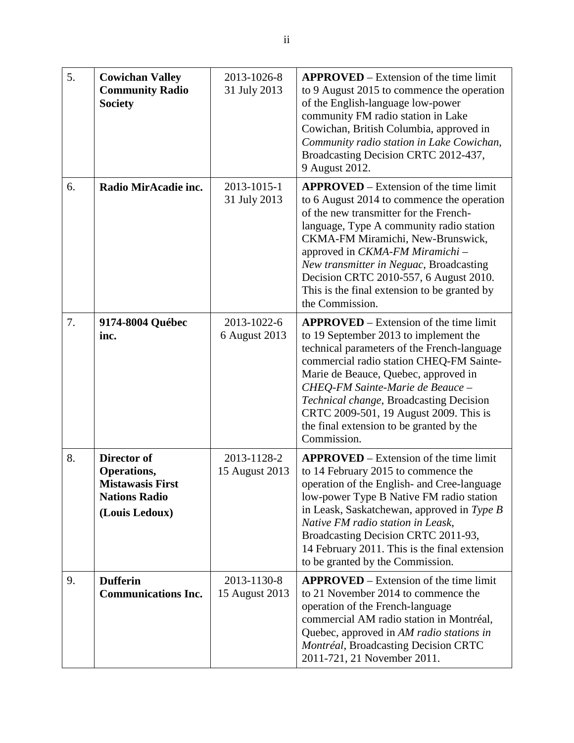| 5. | <b>Cowichan Valley</b><br><b>Community Radio</b><br><b>Society</b>                              | 2013-1026-8<br>31 July 2013   | <b>APPROVED</b> – Extension of the time limit<br>to 9 August 2015 to commence the operation<br>of the English-language low-power<br>community FM radio station in Lake<br>Cowichan, British Columbia, approved in<br>Community radio station in Lake Cowichan,<br>Broadcasting Decision CRTC 2012-437,<br>9 August 2012.                                                                                     |
|----|-------------------------------------------------------------------------------------------------|-------------------------------|--------------------------------------------------------------------------------------------------------------------------------------------------------------------------------------------------------------------------------------------------------------------------------------------------------------------------------------------------------------------------------------------------------------|
| 6. | Radio MirAcadie inc.                                                                            | 2013-1015-1<br>31 July 2013   | $APPROVED - Extension$ of the time limit<br>to 6 August 2014 to commence the operation<br>of the new transmitter for the French-<br>language, Type A community radio station<br>CKMA-FM Miramichi, New-Brunswick,<br>approved in CKMA-FM Miramichi -<br>New transmitter in Neguac, Broadcasting<br>Decision CRTC 2010-557, 6 August 2010.<br>This is the final extension to be granted by<br>the Commission. |
| 7. | 9174-8004 Québec<br>inc.                                                                        | 2013-1022-6<br>6 August 2013  | $APPROVED - Extension$ of the time limit<br>to 19 September 2013 to implement the<br>technical parameters of the French-language<br>commercial radio station CHEQ-FM Sainte-<br>Marie de Beauce, Quebec, approved in<br>CHEQ-FM Sainte-Marie de Beauce -<br>Technical change, Broadcasting Decision<br>CRTC 2009-501, 19 August 2009. This is<br>the final extension to be granted by the<br>Commission.     |
| 8. | Director of<br>Operations,<br><b>Mistawasis First</b><br><b>Nations Radio</b><br>(Louis Ledoux) | 2013-1128-2<br>15 August 2013 | $APPROVED - Extension$ of the time limit<br>to 14 February 2015 to commence the<br>operation of the English- and Cree-language<br>low-power Type B Native FM radio station<br>in Leask, Saskatchewan, approved in Type B<br>Native FM radio station in Leask,<br>Broadcasting Decision CRTC 2011-93,<br>14 February 2011. This is the final extension<br>to be granted by the Commission.                    |
| 9. | <b>Dufferin</b><br><b>Communications Inc.</b>                                                   | 2013-1130-8<br>15 August 2013 | $APPROVED - Extension$ of the time limit<br>to 21 November 2014 to commence the<br>operation of the French-language<br>commercial AM radio station in Montréal,<br>Quebec, approved in AM radio stations in<br>Montréal, Broadcasting Decision CRTC<br>2011-721, 21 November 2011.                                                                                                                           |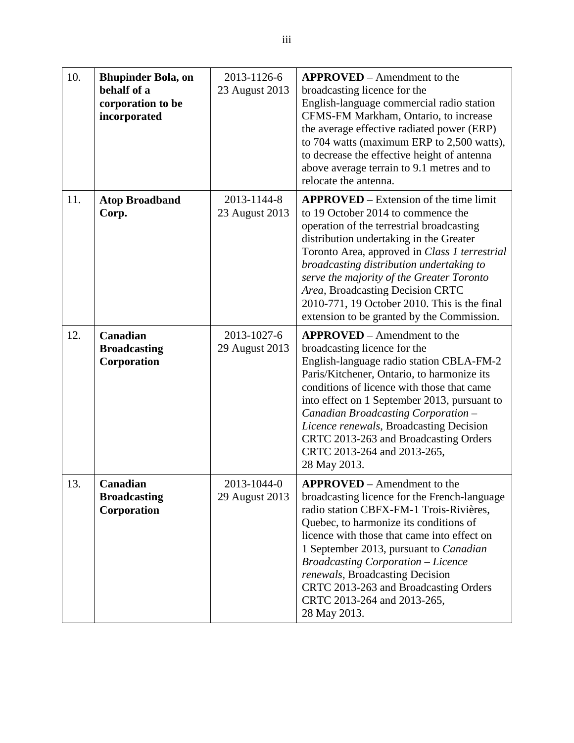| 10. | <b>Bhupinder Bola, on</b><br>behalf of a<br>corporation to be<br>incorporated | 2013-1126-6<br>23 August 2013 | <b>APPROVED</b> – Amendment to the<br>broadcasting licence for the<br>English-language commercial radio station<br>CFMS-FM Markham, Ontario, to increase<br>the average effective radiated power (ERP)<br>to 704 watts (maximum ERP to 2,500 watts),<br>to decrease the effective height of antenna<br>above average terrain to 9.1 metres and to<br>relocate the antenna.                                                                              |
|-----|-------------------------------------------------------------------------------|-------------------------------|---------------------------------------------------------------------------------------------------------------------------------------------------------------------------------------------------------------------------------------------------------------------------------------------------------------------------------------------------------------------------------------------------------------------------------------------------------|
| 11. | <b>Atop Broadband</b><br>Corp.                                                | 2013-1144-8<br>23 August 2013 | <b>APPROVED</b> – Extension of the time limit<br>to 19 October 2014 to commence the<br>operation of the terrestrial broadcasting<br>distribution undertaking in the Greater<br>Toronto Area, approved in Class 1 terrestrial<br>broadcasting distribution undertaking to<br>serve the majority of the Greater Toronto<br>Area, Broadcasting Decision CRTC<br>2010-771, 19 October 2010. This is the final<br>extension to be granted by the Commission. |
| 12. | Canadian<br><b>Broadcasting</b><br>Corporation                                | 2013-1027-6<br>29 August 2013 | <b>APPROVED</b> – Amendment to the<br>broadcasting licence for the<br>English-language radio station CBLA-FM-2<br>Paris/Kitchener, Ontario, to harmonize its<br>conditions of licence with those that came<br>into effect on 1 September 2013, pursuant to<br>Canadian Broadcasting Corporation -<br>Licence renewals, Broadcasting Decision<br>CRTC 2013-263 and Broadcasting Orders<br>CRTC 2013-264 and 2013-265,<br>28 May 2013.                    |
| 13. | Canadian<br><b>Broadcasting</b><br>Corporation                                | 2013-1044-0<br>29 August 2013 | <b>APPROVED</b> – Amendment to the<br>broadcasting licence for the French-language<br>radio station CBFX-FM-1 Trois-Rivières,<br>Quebec, to harmonize its conditions of<br>licence with those that came into effect on<br>1 September 2013, pursuant to Canadian<br><b>Broadcasting Corporation - Licence</b><br>renewals, Broadcasting Decision<br>CRTC 2013-263 and Broadcasting Orders<br>CRTC 2013-264 and 2013-265,<br>28 May 2013.                |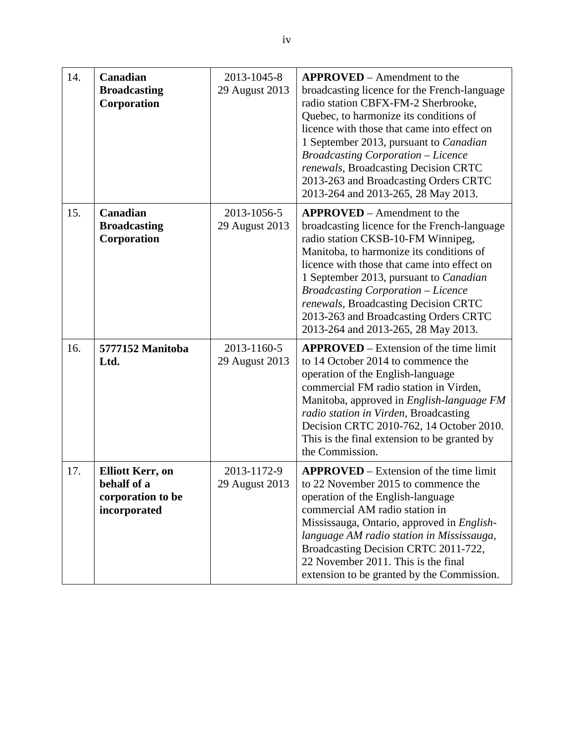| 14. | Canadian<br><b>Broadcasting</b><br>Corporation                              | 2013-1045-8<br>29 August 2013 | <b>APPROVED</b> – Amendment to the<br>broadcasting licence for the French-language<br>radio station CBFX-FM-2 Sherbrooke,<br>Quebec, to harmonize its conditions of<br>licence with those that came into effect on<br>1 September 2013, pursuant to Canadian<br><b>Broadcasting Corporation - Licence</b><br>renewals, Broadcasting Decision CRTC<br>2013-263 and Broadcasting Orders CRTC<br>2013-264 and 2013-265, 28 May 2013.  |
|-----|-----------------------------------------------------------------------------|-------------------------------|------------------------------------------------------------------------------------------------------------------------------------------------------------------------------------------------------------------------------------------------------------------------------------------------------------------------------------------------------------------------------------------------------------------------------------|
| 15. | Canadian<br><b>Broadcasting</b><br>Corporation                              | 2013-1056-5<br>29 August 2013 | <b>APPROVED</b> – Amendment to the<br>broadcasting licence for the French-language<br>radio station CKSB-10-FM Winnipeg,<br>Manitoba, to harmonize its conditions of<br>licence with those that came into effect on<br>1 September 2013, pursuant to Canadian<br><b>Broadcasting Corporation – Licence</b><br>renewals, Broadcasting Decision CRTC<br>2013-263 and Broadcasting Orders CRTC<br>2013-264 and 2013-265, 28 May 2013. |
| 16. | 5777152 Manitoba<br>Ltd.                                                    | 2013-1160-5<br>29 August 2013 | <b>APPROVED</b> – Extension of the time limit<br>to 14 October 2014 to commence the<br>operation of the English-language<br>commercial FM radio station in Virden,<br>Manitoba, approved in English-language FM<br>radio station in Virden, Broadcasting<br>Decision CRTC 2010-762, 14 October 2010.<br>This is the final extension to be granted by<br>the Commission.                                                            |
| 17. | <b>Elliott Kerr, on</b><br>behalf of a<br>corporation to be<br>incorporated | 2013-1172-9<br>29 August 2013 | <b>APPROVED</b> – Extension of the time limit<br>to 22 November 2015 to commence the<br>operation of the English-language<br>commercial AM radio station in<br>Mississauga, Ontario, approved in English-<br>language AM radio station in Mississauga,<br>Broadcasting Decision CRTC 2011-722,<br>22 November 2011. This is the final<br>extension to be granted by the Commission.                                                |